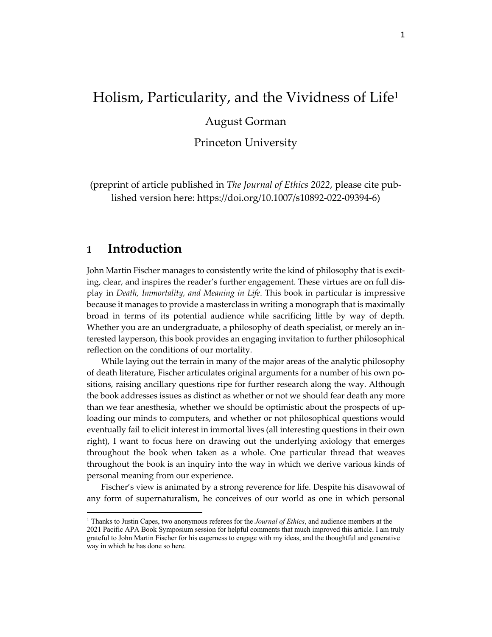# Holism, Particularity, and the Vividness of Life1

August Gorman

Princeton University

(preprint of article published in *The Journal of Ethics 2022*, please cite published version here: https://doi.org/10.1007/s10892-022-09394-6)

## **1 Introduction**

John Martin Fischer manages to consistently write the kind of philosophy that is exciting, clear, and inspires the reader's further engagement. These virtues are on full display in *Death, Immortality, and Meaning in Life*. This book in particular is impressive because it manages to provide a masterclass in writing a monograph that is maximally broad in terms of its potential audience while sacrificing little by way of depth. Whether you are an undergraduate, a philosophy of death specialist, or merely an interested layperson, this book provides an engaging invitation to further philosophical reflection on the conditions of our mortality.

While laying out the terrain in many of the major areas of the analytic philosophy of death literature, Fischer articulates original arguments for a number of his own positions, raising ancillary questions ripe for further research along the way. Although the book addresses issues as distinct as whether or not we should fear death any more than we fear anesthesia, whether we should be optimistic about the prospects of uploading our minds to computers, and whether or not philosophical questions would eventually fail to elicit interest in immortal lives (all interesting questions in their own right), I want to focus here on drawing out the underlying axiology that emerges throughout the book when taken as a whole. One particular thread that weaves throughout the book is an inquiry into the way in which we derive various kinds of personal meaning from our experience.

Fischer's view is animated by a strong reverence for life. Despite his disavowal of any form of supernaturalism, he conceives of our world as one in which personal

<sup>1</sup> Thanks to Justin Capes, two anonymous referees for the *Journal of Ethics*, and audience members at the 2021 Pacific APA Book Symposium session for helpful comments that much improved this article. I am truly grateful to John Martin Fischer for his eagerness to engage with my ideas, and the thoughtful and generative way in which he has done so here.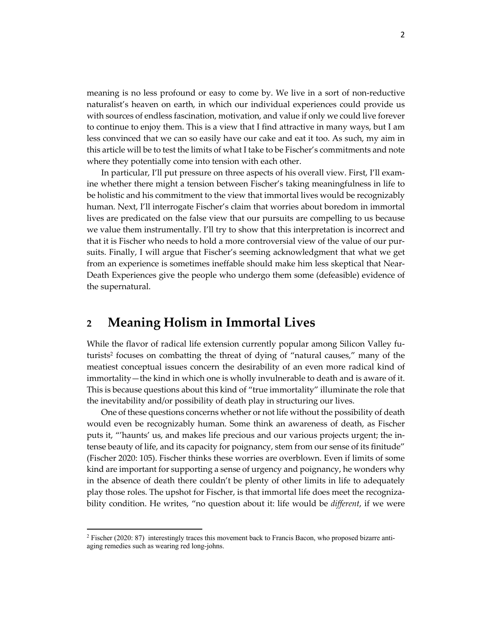meaning is no less profound or easy to come by. We live in a sort of non-reductive naturalist's heaven on earth, in which our individual experiences could provide us with sources of endless fascination, motivation, and value if only we could live forever to continue to enjoy them. This is a view that I find attractive in many ways, but I am less convinced that we can so easily have our cake and eat it too. As such, my aim in this article will be to test the limits of what I take to be Fischer's commitments and note where they potentially come into tension with each other.

In particular, I'll put pressure on three aspects of his overall view. First, I'll examine whether there might a tension between Fischer's taking meaningfulness in life to be holistic and his commitment to the view that immortal lives would be recognizably human. Next, I'll interrogate Fischer's claim that worries about boredom in immortal lives are predicated on the false view that our pursuits are compelling to us because we value them instrumentally. I'll try to show that this interpretation is incorrect and that it is Fischer who needs to hold a more controversial view of the value of our pursuits. Finally, I will argue that Fischer's seeming acknowledgment that what we get from an experience is sometimes ineffable should make him less skeptical that Near-Death Experiences give the people who undergo them some (defeasible) evidence of the supernatural.

# **2 Meaning Holism in Immortal Lives**

While the flavor of radical life extension currently popular among Silicon Valley futurists2 focuses on combatting the threat of dying of "natural causes," many of the meatiest conceptual issues concern the desirability of an even more radical kind of immortality—the kind in which one is wholly invulnerable to death and is aware of it. This is because questions about this kind of "true immortality" illuminate the role that the inevitability and/or possibility of death play in structuring our lives.

One of these questions concerns whether or not life without the possibility of death would even be recognizably human. Some think an awareness of death, as Fischer puts it, "'haunts' us, and makes life precious and our various projects urgent; the intense beauty of life, and its capacity for poignancy, stem from our sense of its finitude" (Fischer 2020: 105). Fischer thinks these worries are overblown. Even if limits of some kind are important for supporting a sense of urgency and poignancy, he wonders why in the absence of death there couldn't be plenty of other limits in life to adequately play those roles. The upshot for Fischer, is that immortal life does meet the recognizability condition. He writes, "no question about it: life would be *different*, if we were

<sup>2</sup> Fischer (2020: 87) interestingly traces this movement back to Francis Bacon, who proposed bizarre antiaging remedies such as wearing red long-johns.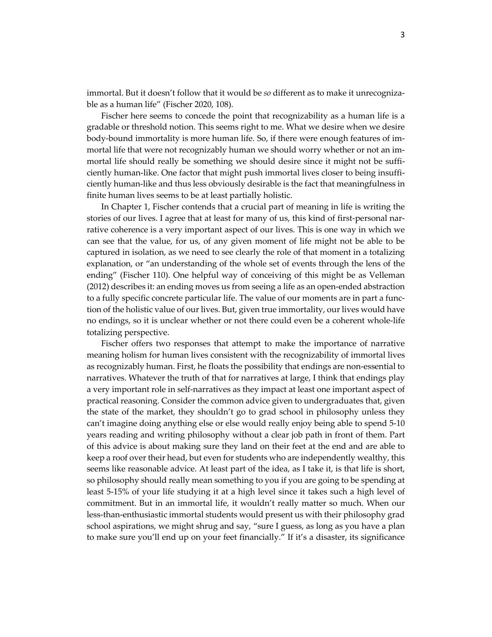immortal. But it doesn't follow that it would be *so* different as to make it unrecognizable as a human life" (Fischer 2020, 108).

Fischer here seems to concede the point that recognizability as a human life is a gradable or threshold notion. This seems right to me. What we desire when we desire body-bound immortality is more human life. So, if there were enough features of immortal life that were not recognizably human we should worry whether or not an immortal life should really be something we should desire since it might not be sufficiently human-like. One factor that might push immortal lives closer to being insufficiently human-like and thus less obviously desirable is the fact that meaningfulness in finite human lives seems to be at least partially holistic.

In Chapter 1, Fischer contends that a crucial part of meaning in life is writing the stories of our lives. I agree that at least for many of us, this kind of first-personal narrative coherence is a very important aspect of our lives. This is one way in which we can see that the value, for us, of any given moment of life might not be able to be captured in isolation, as we need to see clearly the role of that moment in a totalizing explanation, or "an understanding of the whole set of events through the lens of the ending" (Fischer 110). One helpful way of conceiving of this might be as Velleman (2012) describes it: an ending moves us from seeing a life as an open-ended abstraction to a fully specific concrete particular life. The value of our moments are in part a function of the holistic value of our lives. But, given true immortality, our lives would have no endings, so it is unclear whether or not there could even be a coherent whole-life totalizing perspective.

Fischer offers two responses that attempt to make the importance of narrative meaning holism for human lives consistent with the recognizability of immortal lives as recognizably human. First, he floats the possibility that endings are non-essential to narratives. Whatever the truth of that for narratives at large, I think that endings play a very important role in self-narratives as they impact at least one important aspect of practical reasoning. Consider the common advice given to undergraduates that, given the state of the market, they shouldn't go to grad school in philosophy unless they can't imagine doing anything else or else would really enjoy being able to spend 5-10 years reading and writing philosophy without a clear job path in front of them. Part of this advice is about making sure they land on their feet at the end and are able to keep a roof over their head, but even for students who are independently wealthy, this seems like reasonable advice. At least part of the idea, as I take it, is that life is short, so philosophy should really mean something to you if you are going to be spending at least 5-15% of your life studying it at a high level since it takes such a high level of commitment. But in an immortal life, it wouldn't really matter so much. When our less-than-enthusiastic immortal students would present us with their philosophy grad school aspirations, we might shrug and say, "sure I guess, as long as you have a plan to make sure you'll end up on your feet financially." If it's a disaster, its significance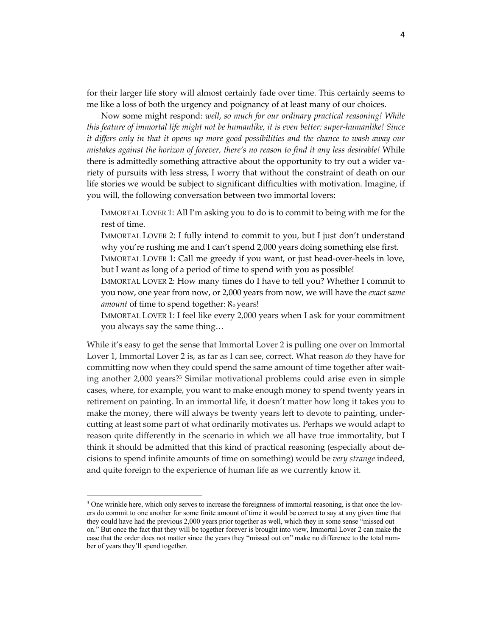for their larger life story will almost certainly fade over time. This certainly seems to me like a loss of both the urgency and poignancy of at least many of our choices.

Now some might respond: *well*, *so much for our ordinary practical reasoning! While this feature of immortal life might not be humanlike, it is even better: super-humanlike! Since it differs only in that it opens up more good possibilities and the chance to wash away our mistakes against the horizon of forever, there's no reason to find it any less desirable!* While there is admittedly something attractive about the opportunity to try out a wider variety of pursuits with less stress, I worry that without the constraint of death on our life stories we would be subject to significant difficulties with motivation. Imagine, if you will, the following conversation between two immortal lovers:

IMMORTAL LOVER 1: All I'm asking you to do is to commit to being with me for the rest of time.

IMMORTAL LOVER 2: I fully intend to commit to you, but I just don't understand why you're rushing me and I can't spend 2,000 years doing something else first.

IMMORTAL LOVER 1: Call me greedy if you want, or just head-over-heels in love, but I want as long of a period of time to spend with you as possible!

IMMORTAL LOVER 2: How many times do I have to tell you? Whether I commit to you now, one year from now, or 2,000 years from now, we will have the *exact same amount* of time to spend together:  $\aleph_0$  years!

IMMORTAL LOVER 1: I feel like every 2,000 years when I ask for your commitment you always say the same thing…

While it's easy to get the sense that Immortal Lover 2 is pulling one over on Immortal Lover 1, Immortal Lover 2 is, as far as I can see, correct. What reason *do* they have for committing now when they could spend the same amount of time together after waiting another 2,000 years?3 Similar motivational problems could arise even in simple cases, where, for example, you want to make enough money to spend twenty years in retirement on painting. In an immortal life, it doesn't matter how long it takes you to make the money, there will always be twenty years left to devote to painting, undercutting at least some part of what ordinarily motivates us. Perhaps we would adapt to reason quite differently in the scenario in which we all have true immortality, but I think it should be admitted that this kind of practical reasoning (especially about decisions to spend infinite amounts of time on something) would be *very strange* indeed, and quite foreign to the experience of human life as we currently know it.

<sup>&</sup>lt;sup>3</sup> One wrinkle here, which only serves to increase the foreignness of immortal reasoning, is that once the lovers do commit to one another for some finite amount of time it would be correct to say at any given time that they could have had the previous 2,000 years prior together as well, which they in some sense "missed out on." But once the fact that they will be together forever is brought into view, Immortal Lover 2 can make the case that the order does not matter since the years they "missed out on" make no difference to the total number of years they'll spend together.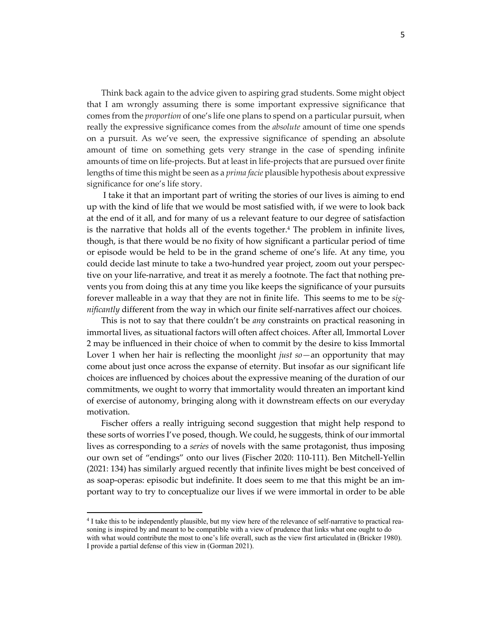Think back again to the advice given to aspiring grad students. Some might object that I am wrongly assuming there is some important expressive significance that comes from the *proportion* of one's life one plans to spend on a particular pursuit, when really the expressive significance comes from the *absolute* amount of time one spends on a pursuit. As we've seen, the expressive significance of spending an absolute amount of time on something gets very strange in the case of spending infinite amounts of time on life-projects. But at least in life-projects that are pursued over finite lengths of time this might be seen as a *prima facie* plausible hypothesis about expressive significance for one's life story.

I take it that an important part of writing the stories of our lives is aiming to end up with the kind of life that we would be most satisfied with, if we were to look back at the end of it all, and for many of us a relevant feature to our degree of satisfaction is the narrative that holds all of the events together. $4$  The problem in infinite lives, though, is that there would be no fixity of how significant a particular period of time or episode would be held to be in the grand scheme of one's life. At any time, you could decide last minute to take a two-hundred year project, zoom out your perspective on your life-narrative, and treat it as merely a footnote. The fact that nothing prevents you from doing this at any time you like keeps the significance of your pursuits forever malleable in a way that they are not in finite life. This seems to me to be *significantly* different from the way in which our finite self-narratives affect our choices.

This is not to say that there couldn't be *any* constraints on practical reasoning in immortal lives, as situational factors will often affect choices. After all, Immortal Lover 2 may be influenced in their choice of when to commit by the desire to kiss Immortal Lover 1 when her hair is reflecting the moonlight *just so—*an opportunity that may come about just once across the expanse of eternity. But insofar as our significant life choices are influenced by choices about the expressive meaning of the duration of our commitments, we ought to worry that immortality would threaten an important kind of exercise of autonomy, bringing along with it downstream effects on our everyday motivation.

Fischer offers a really intriguing second suggestion that might help respond to these sorts of worries I've posed, though. We could, he suggests, think of our immortal lives as corresponding to a *series* of novels with the same protagonist, thus imposing our own set of "endings" onto our lives (Fischer 2020: 110-111). Ben Mitchell-Yellin (2021: 134) has similarly argued recently that infinite lives might be best conceived of as soap-operas: episodic but indefinite. It does seem to me that this might be an important way to try to conceptualize our lives if we were immortal in order to be able

<sup>&</sup>lt;sup>4</sup> I take this to be independently plausible, but my view here of the relevance of self-narrative to practical reasoning is inspired by and meant to be compatible with a view of prudence that links what one ought to do with what would contribute the most to one's life overall, such as the view first articulated in (Bricker 1980). I provide a partial defense of this view in (Gorman 2021).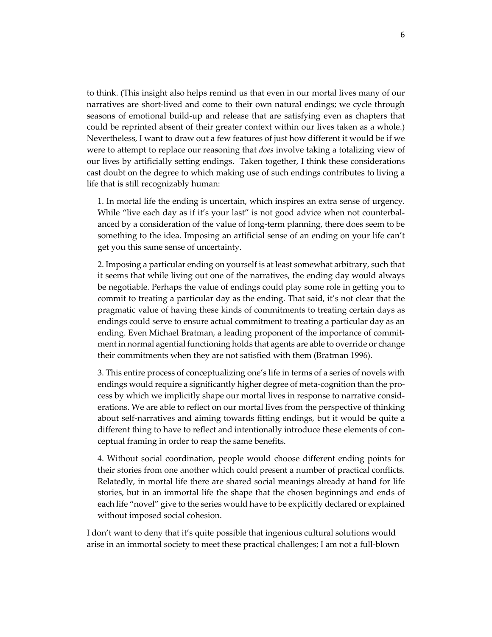to think. (This insight also helps remind us that even in our mortal lives many of our narratives are short-lived and come to their own natural endings; we cycle through seasons of emotional build-up and release that are satisfying even as chapters that could be reprinted absent of their greater context within our lives taken as a whole.) Nevertheless, I want to draw out a few features of just how different it would be if we were to attempt to replace our reasoning that *does* involve taking a totalizing view of our lives by artificially setting endings. Taken together, I think these considerations cast doubt on the degree to which making use of such endings contributes to living a life that is still recognizably human:

1. In mortal life the ending is uncertain, which inspires an extra sense of urgency. While "live each day as if it's your last" is not good advice when not counterbalanced by a consideration of the value of long-term planning, there does seem to be something to the idea. Imposing an artificial sense of an ending on your life can't get you this same sense of uncertainty.

2. Imposing a particular ending on yourself is at least somewhat arbitrary, such that it seems that while living out one of the narratives, the ending day would always be negotiable. Perhaps the value of endings could play some role in getting you to commit to treating a particular day as the ending. That said, it's not clear that the pragmatic value of having these kinds of commitments to treating certain days as endings could serve to ensure actual commitment to treating a particular day as an ending. Even Michael Bratman, a leading proponent of the importance of commitment in normal agential functioning holds that agents are able to override or change their commitments when they are not satisfied with them (Bratman 1996).

3. This entire process of conceptualizing one's life in terms of a series of novels with endings would require a significantly higher degree of meta-cognition than the process by which we implicitly shape our mortal lives in response to narrative considerations. We are able to reflect on our mortal lives from the perspective of thinking about self-narratives and aiming towards fitting endings, but it would be quite a different thing to have to reflect and intentionally introduce these elements of conceptual framing in order to reap the same benefits.

4. Without social coordination, people would choose different ending points for their stories from one another which could present a number of practical conflicts. Relatedly, in mortal life there are shared social meanings already at hand for life stories, but in an immortal life the shape that the chosen beginnings and ends of each life "novel" give to the series would have to be explicitly declared or explained without imposed social cohesion.

I don't want to deny that it's quite possible that ingenious cultural solutions would arise in an immortal society to meet these practical challenges; I am not a full-blown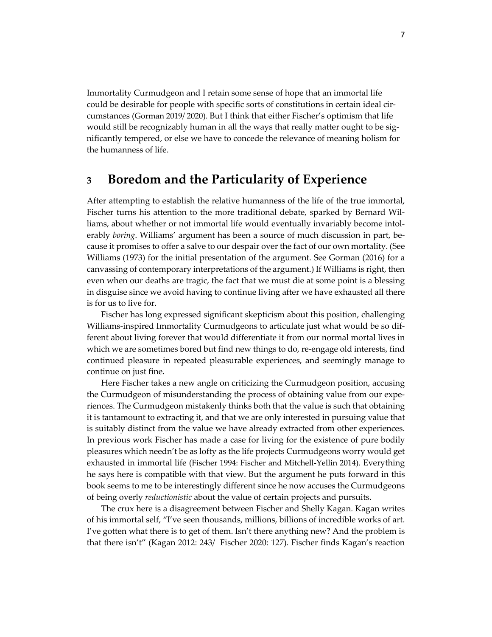Immortality Curmudgeon and I retain some sense of hope that an immortal life could be desirable for people with specific sorts of constitutions in certain ideal circumstances (Gorman 2019/ 2020). But I think that either Fischer's optimism that life would still be recognizably human in all the ways that really matter ought to be significantly tempered, or else we have to concede the relevance of meaning holism for the humanness of life.

### **3 Boredom and the Particularity of Experience**

After attempting to establish the relative humanness of the life of the true immortal, Fischer turns his attention to the more traditional debate, sparked by Bernard Williams, about whether or not immortal life would eventually invariably become intolerably *boring*. Williams' argument has been a source of much discussion in part, because it promises to offer a salve to our despair over the fact of our own mortality. (See Williams (1973) for the initial presentation of the argument. See Gorman (2016) for a canvassing of contemporary interpretations of the argument.) If Williams is right, then even when our deaths are tragic, the fact that we must die at some point is a blessing in disguise since we avoid having to continue living after we have exhausted all there is for us to live for.

Fischer has long expressed significant skepticism about this position, challenging Williams-inspired Immortality Curmudgeons to articulate just what would be so different about living forever that would differentiate it from our normal mortal lives in which we are sometimes bored but find new things to do, re-engage old interests, find continued pleasure in repeated pleasurable experiences, and seemingly manage to continue on just fine.

Here Fischer takes a new angle on criticizing the Curmudgeon position, accusing the Curmudgeon of misunderstanding the process of obtaining value from our experiences. The Curmudgeon mistakenly thinks both that the value is such that obtaining it is tantamount to extracting it, and that we are only interested in pursuing value that is suitably distinct from the value we have already extracted from other experiences. In previous work Fischer has made a case for living for the existence of pure bodily pleasures which needn't be as lofty as the life projects Curmudgeons worry would get exhausted in immortal life (Fischer 1994: Fischer and Mitchell-Yellin 2014). Everything he says here is compatible with that view. But the argument he puts forward in this book seems to me to be interestingly different since he now accuses the Curmudgeons of being overly *reductionistic* about the value of certain projects and pursuits.

The crux here is a disagreement between Fischer and Shelly Kagan. Kagan writes of his immortal self, "I've seen thousands, millions, billions of incredible works of art. I've gotten what there is to get of them. Isn't there anything new? And the problem is that there isn't" (Kagan 2012: 243/ Fischer 2020: 127). Fischer finds Kagan's reaction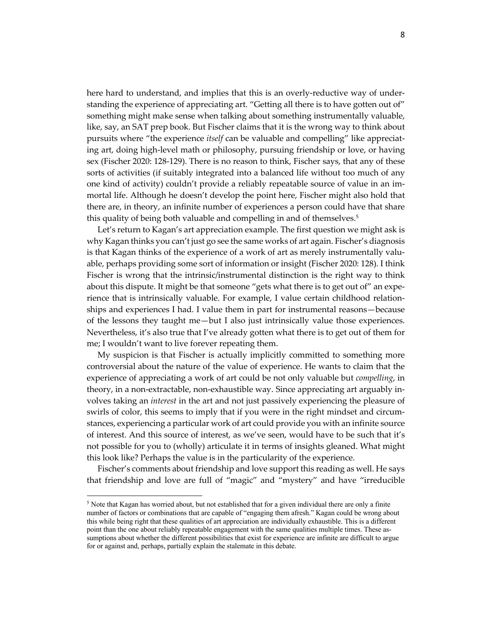here hard to understand, and implies that this is an overly-reductive way of understanding the experience of appreciating art. "Getting all there is to have gotten out of" something might make sense when talking about something instrumentally valuable, like, say, an SAT prep book. But Fischer claims that it is the wrong way to think about pursuits where "the experience *itself* can be valuable and compelling" like appreciating art, doing high-level math or philosophy, pursuing friendship or love, or having sex (Fischer 2020: 128-129). There is no reason to think, Fischer says, that any of these sorts of activities (if suitably integrated into a balanced life without too much of any one kind of activity) couldn't provide a reliably repeatable source of value in an immortal life. Although he doesn't develop the point here, Fischer might also hold that there are, in theory, an infinite number of experiences a person could have that share this quality of being both valuable and compelling in and of themselves.<sup>5</sup>

Let's return to Kagan's art appreciation example. The first question we might ask is why Kagan thinks you can't just go see the same works of art again. Fischer's diagnosis is that Kagan thinks of the experience of a work of art as merely instrumentally valuable, perhaps providing some sort of information or insight (Fischer 2020: 128). I think Fischer is wrong that the intrinsic/instrumental distinction is the right way to think about this dispute. It might be that someone "gets what there is to get out of" an experience that is intrinsically valuable. For example, I value certain childhood relationships and experiences I had. I value them in part for instrumental reasons—because of the lessons they taught me—but I also just intrinsically value those experiences. Nevertheless, it's also true that I've already gotten what there is to get out of them for me; I wouldn't want to live forever repeating them.

My suspicion is that Fischer is actually implicitly committed to something more controversial about the nature of the value of experience. He wants to claim that the experience of appreciating a work of art could be not only valuable but *compelling*, in theory, in a non-extractable, non-exhaustible way. Since appreciating art arguably involves taking an *interest* in the art and not just passively experiencing the pleasure of swirls of color, this seems to imply that if you were in the right mindset and circumstances, experiencing a particular work of art could provide you with an infinite source of interest. And this source of interest, as we've seen, would have to be such that it's not possible for you to (wholly) articulate it in terms of insights gleaned. What might this look like? Perhaps the value is in the particularity of the experience.

Fischer's comments about friendship and love support this reading as well. He says that friendship and love are full of "magic" and "mystery" and have "irreducible

<sup>5</sup> Note that Kagan has worried about, but not established that for a given individual there are only a finite number of factors or combinations that are capable of "engaging them afresh." Kagan could be wrong about this while being right that these qualities of art appreciation are individually exhaustible. This is a different point than the one about reliably repeatable engagement with the same qualities multiple times. These assumptions about whether the different possibilities that exist for experience are infinite are difficult to argue for or against and, perhaps, partially explain the stalemate in this debate.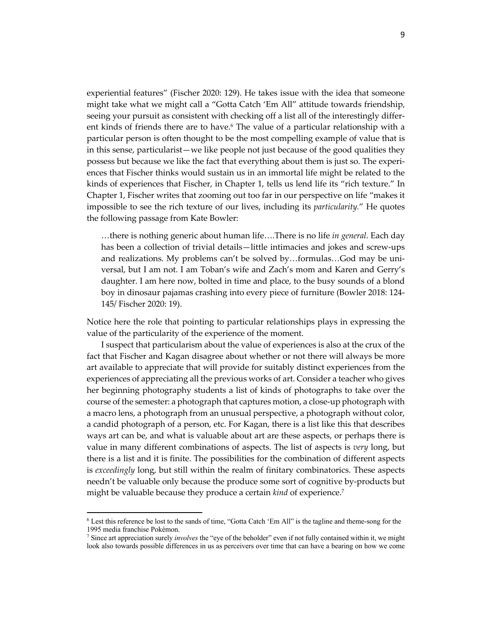experiential features" (Fischer 2020: 129). He takes issue with the idea that someone might take what we might call a "Gotta Catch 'Em All" attitude towards friendship, seeing your pursuit as consistent with checking off a list all of the interestingly different kinds of friends there are to have. $6$  The value of a particular relationship with a particular person is often thought to be the most compelling example of value that is in this sense, particularist—we like people not just because of the good qualities they possess but because we like the fact that everything about them is just so. The experiences that Fischer thinks would sustain us in an immortal life might be related to the kinds of experiences that Fischer, in Chapter 1, tells us lend life its "rich texture." In Chapter 1, Fischer writes that zooming out too far in our perspective on life "makes it impossible to see the rich texture of our lives, including its *particularity.*" He quotes the following passage from Kate Bowler:

…there is nothing generic about human life….There is no life *in general*. Each day has been a collection of trivial details—little intimacies and jokes and screw-ups and realizations. My problems can't be solved by…formulas…God may be universal, but I am not. I am Toban's wife and Zach's mom and Karen and Gerry's daughter. I am here now, bolted in time and place, to the busy sounds of a blond boy in dinosaur pajamas crashing into every piece of furniture (Bowler 2018: 124- 145/ Fischer 2020: 19).

Notice here the role that pointing to particular relationships plays in expressing the value of the particularity of the experience of the moment.

I suspect that particularism about the value of experiences is also at the crux of the fact that Fischer and Kagan disagree about whether or not there will always be more art available to appreciate that will provide for suitably distinct experiences from the experiences of appreciating all the previous works of art. Consider a teacher who gives her beginning photography students a list of kinds of photographs to take over the course of the semester: a photograph that captures motion, a close-up photograph with a macro lens, a photograph from an unusual perspective, a photograph without color, a candid photograph of a person, etc. For Kagan, there is a list like this that describes ways art can be, and what is valuable about art are these aspects, or perhaps there is value in many different combinations of aspects. The list of aspects is *very* long, but there is a list and it is finite. The possibilities for the combination of different aspects is *exceedingly* long, but still within the realm of finitary combinatorics. These aspects needn't be valuable only because the produce some sort of cognitive by-products but might be valuable because they produce a certain *kind* of experience.7

<sup>6</sup> Lest this reference be lost to the sands of time, "Gotta Catch 'Em All" is the tagline and theme-song for the 1995 media franchise Pokémon.

<sup>7</sup> Since art appreciation surely *involves* the "eye of the beholder" even if not fully contained within it, we might look also towards possible differences in us as perceivers over time that can have a bearing on how we come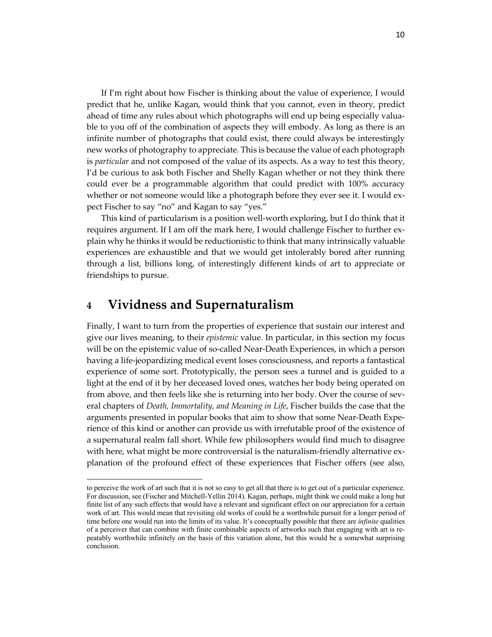If I'm right about how Fischer is thinking about the value of experience, I would predict that he, unlike Kagan, would think that you cannot, even in theory, predict ahead of time any rules about which photographs will end up being especially valuable to you off of the combination of aspects they will embody. As long as there is an infinite number of photographs that could exist, there could always be interestingly new works of photography to appreciate. This is because the value of each photograph is *particular* and not composed of the value of its aspects. As a way to test this theory, I'd be curious to ask both Fischer and Shelly Kagan whether or not they think there could ever be a programmable algorithm that could predict with 100% accuracy whether or not someone would like a photograph before they ever see it. I would expect Fischer to say "no" and Kagan to say "yes."

This kind of particularism is a position well-worth exploring, but I do think that it requires argument. If I am off the mark here, I would challenge Fischer to further explain why he thinks it would be reductionistic to think that many intrinsically valuable experiences are exhaustible and that we would get intolerably bored after running through a list, billions long, of interestingly different kinds of art to appreciate or friendships to pursue.

# **4 Vividness and Supernaturalism**

Finally, I want to turn from the properties of experience that sustain our interest and give our lives meaning, to their *epistemic* value. In particular, in this section my focus will be on the epistemic value of so-called Near-Death Experiences, in which a person having a life-jeopardizing medical event loses consciousness, and reports a fantastical experience of some sort. Prototypically, the person sees a tunnel and is guided to a light at the end of it by her deceased loved ones, watches her body being operated on from above, and then feels like she is returning into her body. Over the course of several chapters of *Death, Immortality, and Meaning in Life*, Fischer builds the case that the arguments presented in popular books that aim to show that some Near-Death Experience of this kind or another can provide us with irrefutable proof of the existence of a supernatural realm fall short. While few philosophers would find much to disagree with here, what might be more controversial is the naturalism-friendly alternative explanation of the profound effect of these experiences that Fischer offers (see also,

to perceive the work of art such that it is not so easy to get all that there is to get out of a particular experience. For discussion, see (Fischer and Mitchell-Yellin 2014). Kagan, perhaps, might think we could make a long but finite list of any such effects that would have a relevant and significant effect on our appreciation for a certain work of art. This would mean that revisiting old works of could be a worthwhile pursuit for a longer period of time before one would run into the limits of its value. It's conceptually possible that there are *infinite* qualities of a perceiver that can combine with finite combinable aspects of artworks such that engaging with art is repeatably worthwhile infinitely on the basis of this variation alone, but this would be a somewhat surprising conclusion.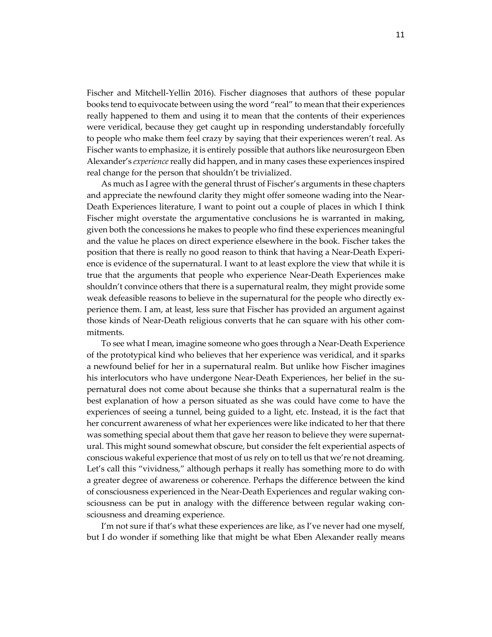Fischer and Mitchell-Yellin 2016). Fischer diagnoses that authors of these popular books tend to equivocate between using the word "real" to mean that their experiences really happened to them and using it to mean that the contents of their experiences were veridical, because they get caught up in responding understandably forcefully to people who make them feel crazy by saying that their experiences weren't real. As Fischer wants to emphasize, it is entirely possible that authors like neurosurgeon Eben Alexander's *experience*really did happen, and in many cases these experiences inspired real change for the person that shouldn't be trivialized.

As much as I agree with the general thrust of Fischer's arguments in these chapters and appreciate the newfound clarity they might offer someone wading into the Near-Death Experiences literature, I want to point out a couple of places in which I think Fischer might overstate the argumentative conclusions he is warranted in making, given both the concessions he makes to people who find these experiences meaningful and the value he places on direct experience elsewhere in the book. Fischer takes the position that there is really no good reason to think that having a Near-Death Experience is evidence of the supernatural. I want to at least explore the view that while it is true that the arguments that people who experience Near-Death Experiences make shouldn't convince others that there is a supernatural realm, they might provide some weak defeasible reasons to believe in the supernatural for the people who directly experience them. I am, at least, less sure that Fischer has provided an argument against those kinds of Near-Death religious converts that he can square with his other commitments.

To see what I mean, imagine someone who goes through a Near-Death Experience of the prototypical kind who believes that her experience was veridical, and it sparks a newfound belief for her in a supernatural realm. But unlike how Fischer imagines his interlocutors who have undergone Near-Death Experiences, her belief in the supernatural does not come about because she thinks that a supernatural realm is the best explanation of how a person situated as she was could have come to have the experiences of seeing a tunnel, being guided to a light, etc. Instead, it is the fact that her concurrent awareness of what her experiences were like indicated to her that there was something special about them that gave her reason to believe they were supernatural. This might sound somewhat obscure, but consider the felt experiential aspects of conscious wakeful experience that most of us rely on to tell us that we're not dreaming. Let's call this "vividness," although perhaps it really has something more to do with a greater degree of awareness or coherence. Perhaps the difference between the kind of consciousness experienced in the Near-Death Experiences and regular waking consciousness can be put in analogy with the difference between regular waking consciousness and dreaming experience.

I'm not sure if that's what these experiences are like, as I've never had one myself, but I do wonder if something like that might be what Eben Alexander really means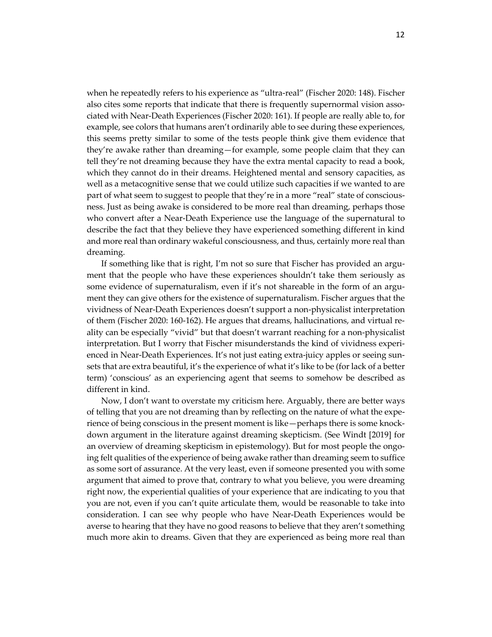when he repeatedly refers to his experience as "ultra-real" (Fischer 2020: 148). Fischer also cites some reports that indicate that there is frequently supernormal vision associated with Near-Death Experiences (Fischer 2020: 161). If people are really able to, for example, see colors that humans aren't ordinarily able to see during these experiences, this seems pretty similar to some of the tests people think give them evidence that they're awake rather than dreaming—for example, some people claim that they can tell they're not dreaming because they have the extra mental capacity to read a book, which they cannot do in their dreams. Heightened mental and sensory capacities, as well as a metacognitive sense that we could utilize such capacities if we wanted to are part of what seem to suggest to people that they're in a more "real" state of consciousness. Just as being awake is considered to be more real than dreaming, perhaps those who convert after a Near-Death Experience use the language of the supernatural to describe the fact that they believe they have experienced something different in kind and more real than ordinary wakeful consciousness, and thus, certainly more real than dreaming.

If something like that is right, I'm not so sure that Fischer has provided an argument that the people who have these experiences shouldn't take them seriously as some evidence of supernaturalism, even if it's not shareable in the form of an argument they can give others for the existence of supernaturalism. Fischer argues that the vividness of Near-Death Experiences doesn't support a non-physicalist interpretation of them (Fischer 2020: 160-162). He argues that dreams, hallucinations, and virtual reality can be especially "vivid" but that doesn't warrant reaching for a non-physicalist interpretation. But I worry that Fischer misunderstands the kind of vividness experienced in Near-Death Experiences. It's not just eating extra-juicy apples or seeing sunsets that are extra beautiful, it's the experience of what it's like to be (for lack of a better term) 'conscious' as an experiencing agent that seems to somehow be described as different in kind.

Now, I don't want to overstate my criticism here. Arguably, there are better ways of telling that you are not dreaming than by reflecting on the nature of what the experience of being conscious in the present moment is like—perhaps there is some knockdown argument in the literature against dreaming skepticism. (See Windt [2019] for an overview of dreaming skepticism in epistemology). But for most people the ongoing felt qualities of the experience of being awake rather than dreaming seem to suffice as some sort of assurance. At the very least, even if someone presented you with some argument that aimed to prove that, contrary to what you believe, you were dreaming right now, the experiential qualities of your experience that are indicating to you that you are not, even if you can't quite articulate them, would be reasonable to take into consideration. I can see why people who have Near-Death Experiences would be averse to hearing that they have no good reasons to believe that they aren't something much more akin to dreams. Given that they are experienced as being more real than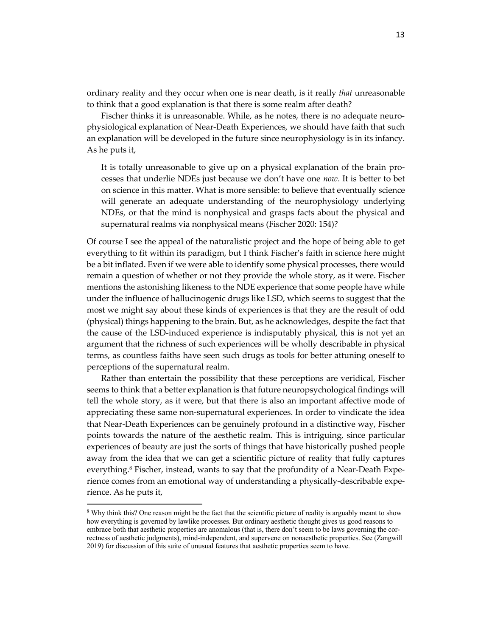ordinary reality and they occur when one is near death, is it really *that* unreasonable to think that a good explanation is that there is some realm after death?

Fischer thinks it is unreasonable. While, as he notes, there is no adequate neurophysiological explanation of Near-Death Experiences, we should have faith that such an explanation will be developed in the future since neurophysiology is in its infancy. As he puts it,

It is totally unreasonable to give up on a physical explanation of the brain processes that underlie NDEs just because we don't have one *now*. It is better to bet on science in this matter. What is more sensible: to believe that eventually science will generate an adequate understanding of the neurophysiology underlying NDEs, or that the mind is nonphysical and grasps facts about the physical and supernatural realms via nonphysical means (Fischer 2020: 154)?

Of course I see the appeal of the naturalistic project and the hope of being able to get everything to fit within its paradigm, but I think Fischer's faith in science here might be a bit inflated. Even if we were able to identify some physical processes, there would remain a question of whether or not they provide the whole story, as it were. Fischer mentions the astonishing likeness to the NDE experience that some people have while under the influence of hallucinogenic drugs like LSD, which seems to suggest that the most we might say about these kinds of experiences is that they are the result of odd (physical) things happening to the brain. But, as he acknowledges, despite the fact that the cause of the LSD-induced experience is indisputably physical, this is not yet an argument that the richness of such experiences will be wholly describable in physical terms, as countless faiths have seen such drugs as tools for better attuning oneself to perceptions of the supernatural realm.

Rather than entertain the possibility that these perceptions are veridical, Fischer seems to think that a better explanation is that future neuropsychological findings will tell the whole story, as it were, but that there is also an important affective mode of appreciating these same non-supernatural experiences. In order to vindicate the idea that Near-Death Experiences can be genuinely profound in a distinctive way, Fischer points towards the nature of the aesthetic realm. This is intriguing, since particular experiences of beauty are just the sorts of things that have historically pushed people away from the idea that we can get a scientific picture of reality that fully captures everything.<sup>8</sup> Fischer, instead, wants to say that the profundity of a Near-Death Experience comes from an emotional way of understanding a physically-describable experience. As he puts it,

<sup>8</sup> Why think this? One reason might be the fact that the scientific picture of reality is arguably meant to show how everything is governed by lawlike processes. But ordinary aesthetic thought gives us good reasons to embrace both that aesthetic properties are anomalous (that is, there don't seem to be laws governing the correctness of aesthetic judgments), mind-independent, and supervene on nonaesthetic properties. See (Zangwill 2019) for discussion of this suite of unusual features that aesthetic properties seem to have.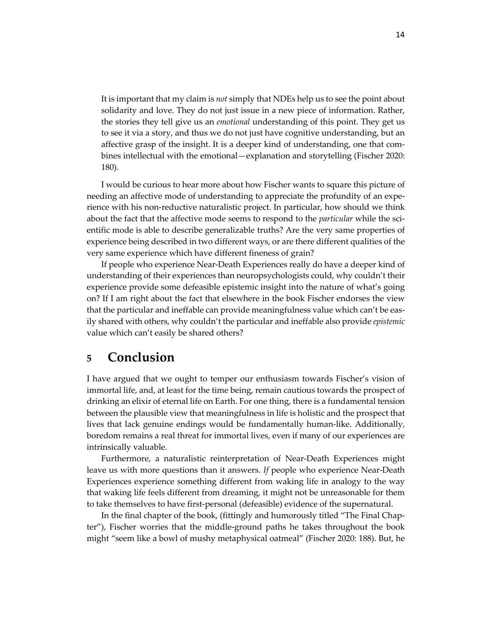It is important that my claim is *not* simply that NDEs help us to see the point about solidarity and love. They do not just issue in a new piece of information. Rather, the stories they tell give us an *emotional* understanding of this point. They get us to see it via a story, and thus we do not just have cognitive understanding, but an affective grasp of the insight. It is a deeper kind of understanding, one that combines intellectual with the emotional—explanation and storytelling (Fischer 2020: 180).

I would be curious to hear more about how Fischer wants to square this picture of needing an affective mode of understanding to appreciate the profundity of an experience with his non-reductive naturalistic project. In particular, how should we think about the fact that the affective mode seems to respond to the *particular* while the scientific mode is able to describe generalizable truths? Are the very same properties of experience being described in two different ways, or are there different qualities of the very same experience which have different fineness of grain?

If people who experience Near-Death Experiences really do have a deeper kind of understanding of their experiences than neuropsychologists could, why couldn't their experience provide some defeasible epistemic insight into the nature of what's going on? If I am right about the fact that elsewhere in the book Fischer endorses the view that the particular and ineffable can provide meaningfulness value which can't be easily shared with others, why couldn't the particular and ineffable also provide *epistemic* value which can't easily be shared others?

#### **5 Conclusion**

I have argued that we ought to temper our enthusiasm towards Fischer's vision of immortal life, and, at least for the time being, remain cautious towards the prospect of drinking an elixir of eternal life on Earth. For one thing, there is a fundamental tension between the plausible view that meaningfulness in life is holistic and the prospect that lives that lack genuine endings would be fundamentally human-like. Additionally, boredom remains a real threat for immortal lives, even if many of our experiences are intrinsically valuable.

Furthermore, a naturalistic reinterpretation of Near-Death Experiences might leave us with more questions than it answers. *If* people who experience Near-Death Experiences experience something different from waking life in analogy to the way that waking life feels different from dreaming, it might not be unreasonable for them to take themselves to have first-personal (defeasible) evidence of the supernatural.

In the final chapter of the book, (fittingly and humorously titled "The Final Chapter"), Fischer worries that the middle-ground paths he takes throughout the book might "seem like a bowl of mushy metaphysical oatmeal" (Fischer 2020: 188). But, he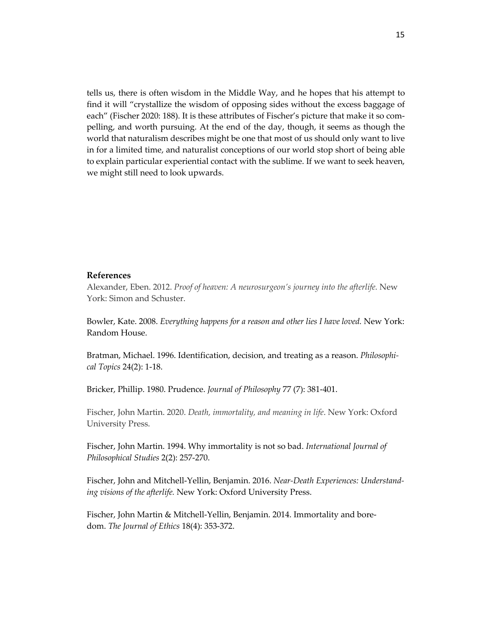tells us, there is often wisdom in the Middle Way, and he hopes that his attempt to find it will "crystallize the wisdom of opposing sides without the excess baggage of each" (Fischer 2020: 188). It is these attributes of Fischer's picture that make it so compelling, and worth pursuing. At the end of the day, though, it seems as though the world that naturalism describes might be one that most of us should only want to live in for a limited time, and naturalist conceptions of our world stop short of being able to explain particular experiential contact with the sublime. If we want to seek heaven, we might still need to look upwards.

#### **References**

Alexander, Eben. 2012. *Proof of heaven: A neurosurgeon's journey into the afterlife.* New York: Simon and Schuster.

Bowler, Kate. 2008. *Everything happens for a reason and other lies I have loved.* New York: Random House.

Bratman, Michael. 1996. Identification, decision, and treating as a reason. *Philosophical Topics* 24(2): 1-18.

Bricker, Phillip. 1980. Prudence. *Journal of Philosophy* 77 (7): 381-401.

Fischer, John Martin. 2020. *Death, immortality, and meaning in life*. New York: Oxford University Press.

Fischer, John Martin. 1994. Why immortality is not so bad. *International Journal of Philosophical Studies* 2(2): 257-270.

Fischer, John and Mitchell-Yellin, Benjamin. 2016. *Near-Death Experiences: Understanding visions of the afterlife.* New York: Oxford University Press.

Fischer, John Martin & Mitchell-Yellin, Benjamin. 2014. Immortality and boredom. *The Journal of Ethics* 18(4): 353-372.